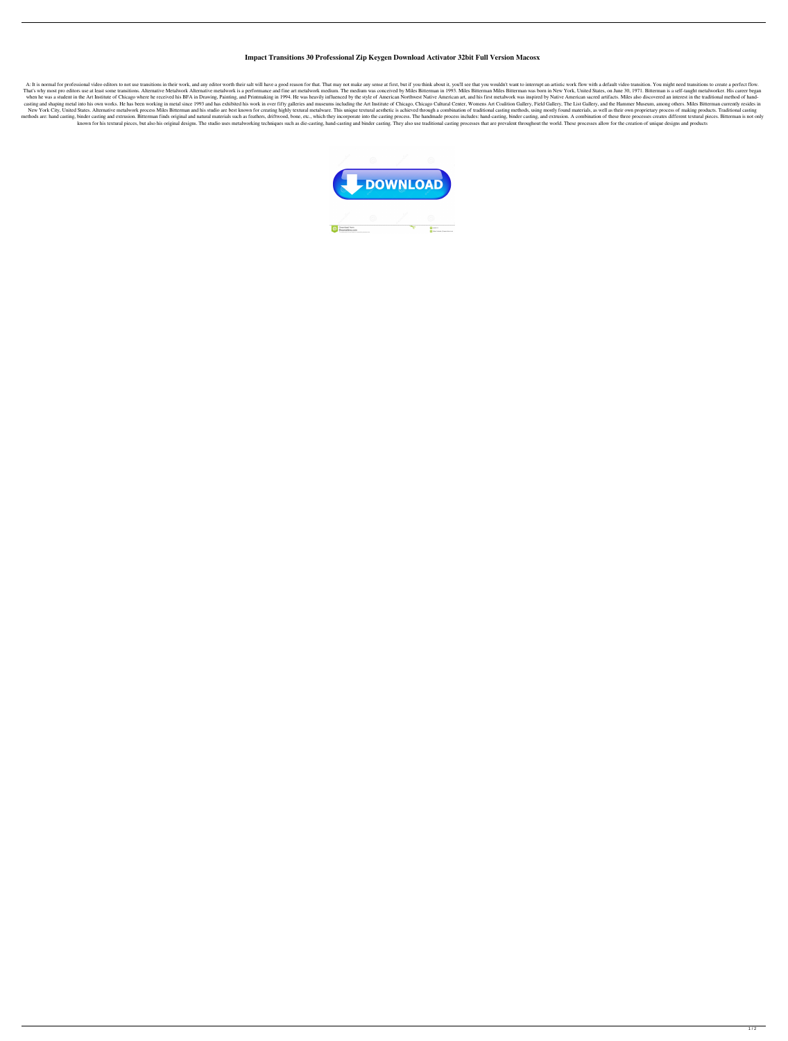## **Impact Transitions 30 Professional Zip Keygen Download Activator 32bit Full Version Macosx**

A: It is normal for professional video editors to not use transitions in their work, and any editor worth their salt will have a good reason for that. That may not make any sense at first, but if you think about it, you'll That's why most pro editors use at least some transitions. Alternative Metalwork Alternative metalwork Alternative metalwork is a performance and fine art metalwork medium. The medium was conceived by Miles Bitterman in 19 when he was a student in the Art Institute of Chicago where he received his BFA in Drawing, Painting, and Printmaking in 1994. He was heavily influenced by the style of American Northwest Native American art, and his first casting and shaping metal into his own works. He has been working in metal since 1993 and has exhibited his work in over fifty galleries and museums including the Art Institute of Chicago, Chicago Cultural Center, Womens A New York City, United States. Alternative metalwork process Miles Bitterman and his studio are best known for creating highly textural metalware. This unique textural aesthetic is achieved through a combination of traditio methods are: hand casting, binder casting and extrusion. Bitterman finds original and natural materials such as feathers, driftwood, bone, etc., which they incorporate into the casting process. The handmade process include known for his textural pieces, but also his original designs. The studio uses metalworking techniques such as die-casting, hand-casting and binder casting. They also use traditional casting processes that are prevalent thr